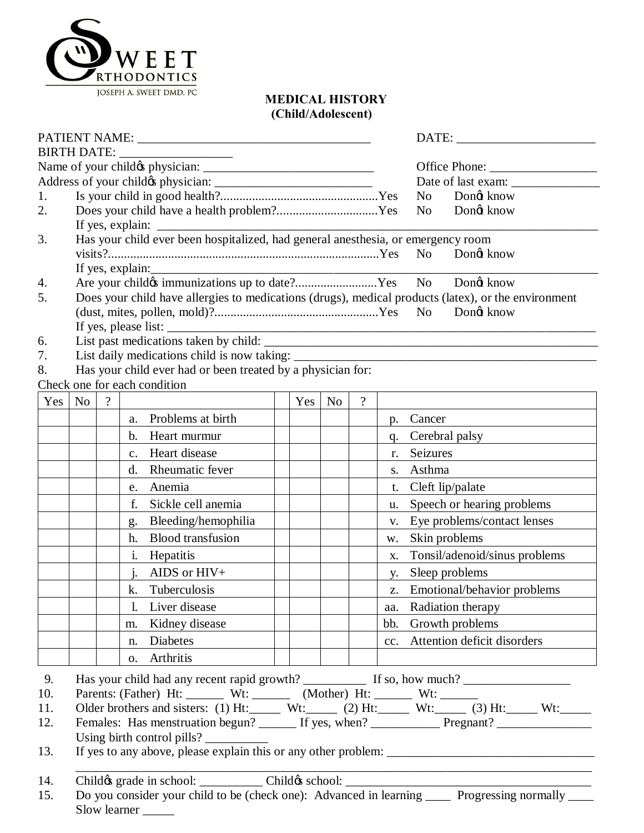

## **MEDICAL HISTORY (Child/Adolescent)**

|     |                                                                                                     |                                                                                                      |                |                                                             |  |                                                   |                                   |                          |             | DATE:                         |  |  |
|-----|-----------------------------------------------------------------------------------------------------|------------------------------------------------------------------------------------------------------|----------------|-------------------------------------------------------------|--|---------------------------------------------------|-----------------------------------|--------------------------|-------------|-------------------------------|--|--|
|     |                                                                                                     |                                                                                                      |                |                                                             |  |                                                   |                                   |                          |             |                               |  |  |
|     |                                                                                                     |                                                                                                      |                |                                                             |  |                                                   | Office Phone: ___________________ |                          |             |                               |  |  |
| 1.  |                                                                                                     |                                                                                                      |                |                                                             |  | Date of last exam:<br>N <sub>o</sub><br>Dong know |                                   |                          |             |                               |  |  |
| 2.  |                                                                                                     |                                                                                                      |                |                                                             |  |                                                   |                                   |                          |             | Dongt know<br>No              |  |  |
|     | If yes, explain: $\frac{1}{\sqrt{1-\frac{1}{2}} \cdot \frac{1}{2}}$                                 |                                                                                                      |                |                                                             |  |                                                   |                                   |                          |             |                               |  |  |
| 3.  | Has your child ever been hospitalized, had general anesthesia, or emergency room                    |                                                                                                      |                |                                                             |  |                                                   |                                   |                          |             |                               |  |  |
|     |                                                                                                     | No.<br>Dongt know                                                                                    |                |                                                             |  |                                                   |                                   |                          |             |                               |  |  |
|     | If yes, explain:                                                                                    |                                                                                                      |                |                                                             |  |                                                   |                                   |                          |             |                               |  |  |
| 4.  | Are your child immunizations up to date?Yes<br>No Dong know                                         |                                                                                                      |                |                                                             |  |                                                   |                                   |                          |             |                               |  |  |
| 5.  | Does your child have allergies to medications (drugs), medical products (latex), or the environment |                                                                                                      |                |                                                             |  |                                                   |                                   |                          |             |                               |  |  |
|     | Dongt know                                                                                          |                                                                                                      |                |                                                             |  |                                                   |                                   |                          |             |                               |  |  |
| 6.  |                                                                                                     |                                                                                                      |                |                                                             |  |                                                   |                                   |                          |             |                               |  |  |
| 7.  | List daily medications child is now taking:                                                         |                                                                                                      |                |                                                             |  |                                                   |                                   |                          |             |                               |  |  |
| 8.  |                                                                                                     |                                                                                                      |                | Has your child ever had or been treated by a physician for: |  |                                                   |                                   |                          |             |                               |  |  |
|     |                                                                                                     |                                                                                                      |                | Check one for each condition                                |  |                                                   |                                   |                          |             |                               |  |  |
| Yes | <b>No</b>                                                                                           | $\gamma$                                                                                             |                |                                                             |  | Yes                                               | N <sub>o</sub>                    | $\overline{\mathcal{L}}$ |             |                               |  |  |
|     |                                                                                                     |                                                                                                      | a.             | Problems at birth                                           |  |                                                   |                                   |                          | $p_{\rm{}}$ | Cancer                        |  |  |
|     |                                                                                                     |                                                                                                      | b.             | Heart murmur                                                |  |                                                   |                                   |                          | q.          | Cerebral palsy                |  |  |
|     |                                                                                                     |                                                                                                      | $\mathbf{c}$ . | Heart disease                                               |  |                                                   |                                   |                          | r.          | Seizures                      |  |  |
|     |                                                                                                     |                                                                                                      | d.             | Rheumatic fever                                             |  |                                                   |                                   |                          | S.          | Asthma                        |  |  |
|     |                                                                                                     |                                                                                                      | e.             | Anemia                                                      |  |                                                   |                                   |                          | t.          | Cleft lip/palate              |  |  |
|     |                                                                                                     |                                                                                                      | f.             | Sickle cell anemia                                          |  |                                                   |                                   |                          | u.          | Speech or hearing problems    |  |  |
|     |                                                                                                     |                                                                                                      | g.             | Bleeding/hemophilia                                         |  |                                                   |                                   |                          | V.          | Eye problems/contact lenses   |  |  |
|     |                                                                                                     |                                                                                                      | h.             | <b>Blood</b> transfusion                                    |  |                                                   |                                   |                          | w.          | Skin problems                 |  |  |
|     |                                                                                                     |                                                                                                      | i.             | Hepatitis                                                   |  |                                                   |                                   |                          | X.          | Tonsil/adenoid/sinus problems |  |  |
|     |                                                                                                     |                                                                                                      | $\mathbf{i}$ . | AIDS or $HIV+$                                              |  |                                                   |                                   |                          | y.          | Sleep problems                |  |  |
|     |                                                                                                     |                                                                                                      | k.             | Tuberculosis                                                |  |                                                   |                                   |                          | Z.          | Emotional/behavior problems   |  |  |
|     |                                                                                                     |                                                                                                      | $\mathbf{l}$ . | Liver disease                                               |  |                                                   |                                   |                          | aa.         | <b>Radiation therapy</b>      |  |  |
|     |                                                                                                     |                                                                                                      | m.             | Kidney disease                                              |  |                                                   |                                   |                          | bb.         | Growth problems               |  |  |
|     |                                                                                                     |                                                                                                      | n.             | Diabetes                                                    |  |                                                   |                                   |                          | cc.         | Attention deficit disorders   |  |  |
|     |                                                                                                     |                                                                                                      | 0.             | Arthritis                                                   |  |                                                   |                                   |                          |             |                               |  |  |
| 9.  |                                                                                                     |                                                                                                      |                |                                                             |  |                                                   |                                   |                          |             |                               |  |  |
| 10. | Parents: (Father) Ht: Wt: _______ Wt: ______ (Mother) Ht: ______ Wt: ______                         |                                                                                                      |                |                                                             |  |                                                   |                                   |                          |             |                               |  |  |
| 11. |                                                                                                     | Older brothers and sisters: (1) Ht: Wt: $W:=$ (2) Ht: Wt: $W:=$ (3) Ht: Wt: Wt:                      |                |                                                             |  |                                                   |                                   |                          |             |                               |  |  |
| 12. |                                                                                                     | Females: Has menstruation begun? _______ If yes, when? _______________ Pregnant? ___________________ |                |                                                             |  |                                                   |                                   |                          |             |                               |  |  |
|     | Using birth control pills?                                                                          |                                                                                                      |                |                                                             |  |                                                   |                                   |                          |             |                               |  |  |
| 13. |                                                                                                     |                                                                                                      |                |                                                             |  |                                                   |                                   |                          |             |                               |  |  |
| 14. |                                                                                                     |                                                                                                      |                |                                                             |  |                                                   |                                   |                          |             |                               |  |  |
| 15. | Do you consider your child to be (check one): Advanced in learning _____ Progressing normally ____  |                                                                                                      |                |                                                             |  |                                                   |                                   |                          |             |                               |  |  |
|     |                                                                                                     | Slow learner                                                                                         |                |                                                             |  |                                                   |                                   |                          |             |                               |  |  |